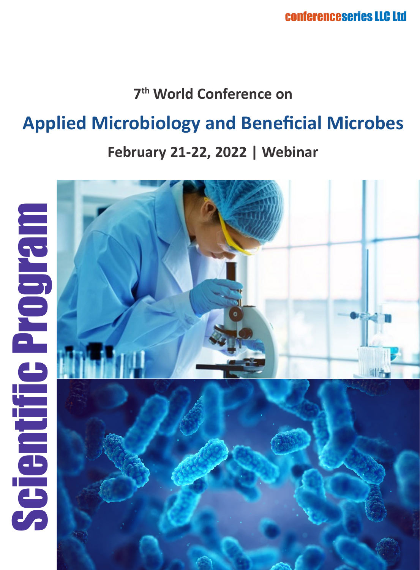### **7th World Conference on**

# **Applied Microbiology and Beneficial Microbes**

#### **February 21-22, 2022 | Webinar**